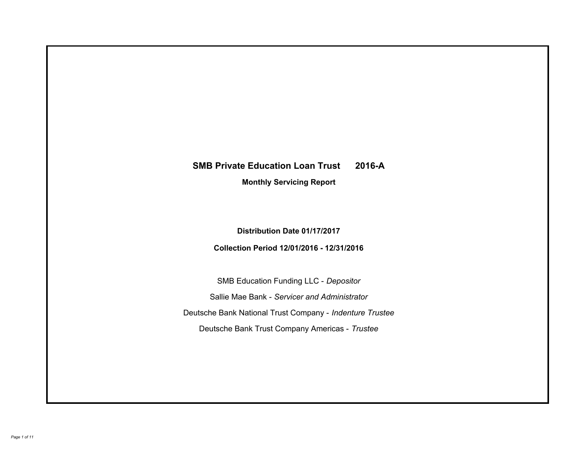# **SMB Private Education Loan Trust 2016-A Monthly Servicing Report**

**Distribution Date 01/17/2017**

**Collection Period 12/01/2016 - 12/31/2016**

SMB Education Funding LLC - *Depositor* Sallie Mae Bank - *Servicer and Administrator* Deutsche Bank National Trust Company - *Indenture Trustee* Deutsche Bank Trust Company Americas - *Trustee*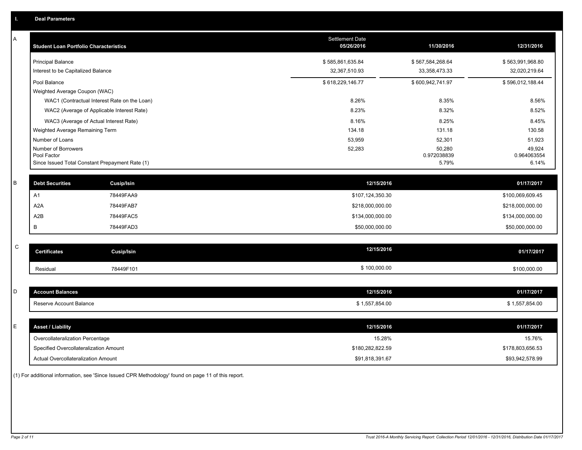| Α           | <b>Student Loan Portfolio Characteristics</b>   |                                              | <b>Settlement Date</b><br>05/26/2016 | 11/30/2016            | 12/31/2016            |
|-------------|-------------------------------------------------|----------------------------------------------|--------------------------------------|-----------------------|-----------------------|
|             | <b>Principal Balance</b>                        |                                              | \$585,861,635.84                     | \$567,584,268.64      | \$563,991,968.80      |
|             | Interest to be Capitalized Balance              |                                              | 32,367,510.93                        | 33, 358, 473. 33      | 32,020,219.64         |
|             | Pool Balance                                    |                                              | \$618,229,146.77                     | \$600,942,741.97      | \$596,012,188.44      |
|             | Weighted Average Coupon (WAC)                   |                                              |                                      |                       |                       |
|             |                                                 | WAC1 (Contractual Interest Rate on the Loan) | 8.26%                                | 8.35%                 | 8.56%                 |
|             |                                                 | WAC2 (Average of Applicable Interest Rate)   | 8.23%                                | 8.32%                 | 8.52%                 |
|             | WAC3 (Average of Actual Interest Rate)          |                                              | 8.16%                                | 8.25%                 | 8.45%                 |
|             | Weighted Average Remaining Term                 |                                              | 134.18                               | 131.18                | 130.58                |
|             | Number of Loans                                 |                                              | 53,959                               | 52,301                | 51,923                |
|             | Number of Borrowers<br>Pool Factor              |                                              | 52,283                               | 50,280<br>0.972038839 | 49,924<br>0.964063554 |
|             | Since Issued Total Constant Prepayment Rate (1) |                                              |                                      | 5.79%                 | 6.14%                 |
|             |                                                 |                                              |                                      |                       |                       |
| B           | <b>Debt Securities</b>                          | Cusip/Isin                                   | 12/15/2016                           |                       | 01/17/2017            |
|             | A <sub>1</sub>                                  | 78449FAA9                                    | \$107,124,350.30                     |                       | \$100,069,609.45      |
|             | A <sub>2</sub> A                                | 78449FAB7                                    | \$218,000,000.00                     |                       | \$218,000,000.00      |
|             | A2B                                             | 78449FAC5                                    | \$134,000,000.00                     |                       | \$134,000,000.00      |
|             | В                                               | 78449FAD3                                    | \$50,000,000.00                      |                       | \$50,000,000.00       |
|             |                                                 |                                              |                                      |                       |                       |
| $\mathbf C$ | <b>Certificates</b>                             | <b>Cusip/Isin</b>                            | 12/15/2016                           |                       | 01/17/2017            |
|             | Residual                                        | 78449F101                                    | \$100,000.00                         |                       | \$100,000.00          |
|             |                                                 |                                              |                                      |                       |                       |
| D           | <b>Account Balances</b>                         |                                              | 12/15/2016                           |                       | 01/17/2017            |
|             | Reserve Account Balance                         |                                              | \$1,557,854.00                       |                       | \$1,557,854.00        |
|             |                                                 |                                              |                                      |                       |                       |
| E           | <b>Asset / Liability</b>                        |                                              | 12/15/2016                           |                       | 01/17/2017            |
|             | Overcollateralization Percentage                |                                              | 15.28%                               |                       | 15.76%                |
|             | Specified Overcollateralization Amount          |                                              | \$180,282,822.59                     |                       | \$178,803,656.53      |
|             | <b>Actual Overcollateralization Amount</b>      |                                              | \$91,818,391.67                      |                       | \$93,942,578.99       |

(1) For additional information, see 'Since Issued CPR Methodology' found on page 11 of this report.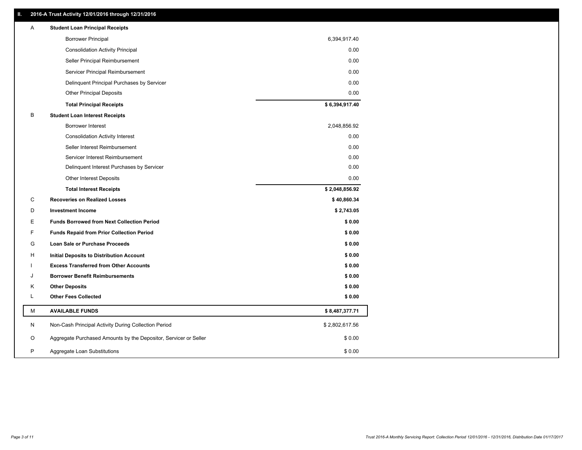# **II. 2016-A Trust Activity 12/01/2016 through 12/31/2016**

| <b>Borrower Principal</b>                                             | 6,394,917.40   |
|-----------------------------------------------------------------------|----------------|
| <b>Consolidation Activity Principal</b>                               | 0.00           |
| Seller Principal Reimbursement                                        | 0.00           |
| Servicer Principal Reimbursement                                      | 0.00           |
| Delinquent Principal Purchases by Servicer                            | 0.00           |
| <b>Other Principal Deposits</b>                                       | 0.00           |
| <b>Total Principal Receipts</b>                                       | \$6,394,917.40 |
| В<br><b>Student Loan Interest Receipts</b>                            |                |
| Borrower Interest                                                     | 2,048,856.92   |
| <b>Consolidation Activity Interest</b>                                | 0.00           |
| Seller Interest Reimbursement                                         | 0.00           |
| Servicer Interest Reimbursement                                       | 0.00           |
| Delinquent Interest Purchases by Servicer                             | 0.00           |
| <b>Other Interest Deposits</b>                                        | 0.00           |
| <b>Total Interest Receipts</b>                                        | \$2,048,856.92 |
| С<br><b>Recoveries on Realized Losses</b>                             | \$40,860.34    |
| <b>Investment Income</b><br>D                                         | \$2,743.05     |
| E<br><b>Funds Borrowed from Next Collection Period</b>                | \$0.00         |
| F<br><b>Funds Repaid from Prior Collection Period</b>                 | \$0.00         |
| G<br>Loan Sale or Purchase Proceeds                                   | \$0.00         |
| н<br>Initial Deposits to Distribution Account                         | \$0.00         |
| <b>Excess Transferred from Other Accounts</b>                         | \$0.00         |
| <b>Borrower Benefit Reimbursements</b><br>J                           | \$0.00         |
| Κ<br><b>Other Deposits</b>                                            | \$0.00         |
| L<br><b>Other Fees Collected</b>                                      | \$0.00         |
| М<br><b>AVAILABLE FUNDS</b>                                           | \$8,487,377.71 |
| N<br>Non-Cash Principal Activity During Collection Period             | \$2,802,617.56 |
| O<br>Aggregate Purchased Amounts by the Depositor, Servicer or Seller | \$0.00         |
| P<br>Aggregate Loan Substitutions                                     | \$0.00         |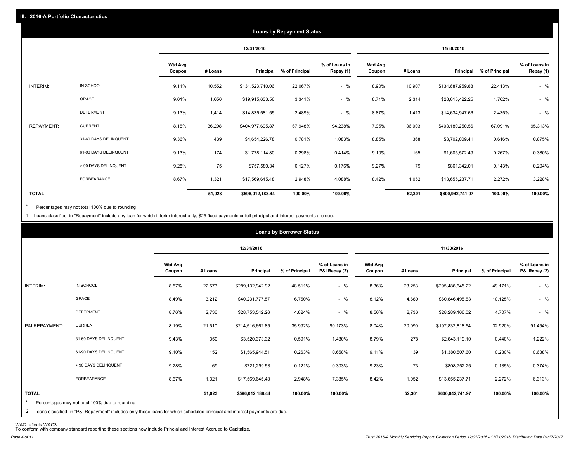|                   |                       |                          |         |                  | <b>Loans by Repayment Status</b> |                            |                          |         |                  |                |                            |
|-------------------|-----------------------|--------------------------|---------|------------------|----------------------------------|----------------------------|--------------------------|---------|------------------|----------------|----------------------------|
|                   |                       |                          |         | 12/31/2016       |                                  |                            |                          |         | 11/30/2016       |                |                            |
|                   |                       | <b>Wtd Avg</b><br>Coupon | # Loans | Principal        | % of Principal                   | % of Loans in<br>Repay (1) | <b>Wtd Avg</b><br>Coupon | # Loans | Principal        | % of Principal | % of Loans in<br>Repay (1) |
| INTERIM:          | IN SCHOOL             | 9.11%                    | 10,552  | \$131,523,710.06 | 22.067%                          | $-$ %                      | 8.90%                    | 10,907  | \$134,687,959.88 | 22.413%        | $-$ %                      |
|                   | GRACE                 | 9.01%                    | 1,650   | \$19,915,633.56  | 3.341%                           | $-$ %                      | 8.71%                    | 2,314   | \$28,615,422.25  | 4.762%         | $-$ %                      |
|                   | <b>DEFERMENT</b>      | 9.13%                    | 1,414   | \$14,835,581.55  | 2.489%                           | $-$ %                      | 8.87%                    | 1,413   | \$14,634,947.66  | 2.435%         | $-$ %                      |
| <b>REPAYMENT:</b> | <b>CURRENT</b>        | 8.15%                    | 36,298  | \$404,977,695.87 | 67.948%                          | 94.238%                    | 7.95%                    | 36,003  | \$403,180,250.56 | 67.091%        | 95.313%                    |
|                   | 31-60 DAYS DELINQUENT | 9.36%                    | 439     | \$4,654,226.78   | 0.781%                           | 1.083%                     | 8.85%                    | 368     | \$3,702,009.41   | 0.616%         | 0.875%                     |
|                   | 61-90 DAYS DELINQUENT | 9.13%                    | 174     | \$1,778,114.80   | 0.298%                           | 0.414%                     | 9.10%                    | 165     | \$1,605,572.49   | 0.267%         | 0.380%                     |
|                   | > 90 DAYS DELINQUENT  | 9.28%                    | 75      | \$757,580.34     | 0.127%                           | 0.176%                     | 9.27%                    | 79      | \$861,342.01     | 0.143%         | 0.204%                     |
|                   | FORBEARANCE           | 8.67%                    | 1,321   | \$17,569,645.48  | 2.948%                           | 4.088%                     | 8.42%                    | 1,052   | \$13,655,237.71  | 2.272%         | 3.228%                     |
| <b>TOTAL</b>      |                       |                          | 51,923  | \$596,012,188.44 | 100.00%                          | 100.00%                    |                          | 52,301  | \$600,942,741.97 | 100.00%        | 100.00%                    |

Percentages may not total 100% due to rounding \*

1 Loans classified in "Repayment" include any loan for which interim interest only, \$25 fixed payments or full principal and interest payments are due.

|                |                       |                          |         | 12/31/2016       |                |                                |                          |         | 11/30/2016       |                |                                |
|----------------|-----------------------|--------------------------|---------|------------------|----------------|--------------------------------|--------------------------|---------|------------------|----------------|--------------------------------|
|                |                       | <b>Wtd Avg</b><br>Coupon | # Loans | Principal        | % of Principal | % of Loans in<br>P&I Repay (2) | <b>Wtd Avg</b><br>Coupon | # Loans | Principal        | % of Principal | % of Loans in<br>P&I Repay (2) |
| INTERIM:       | IN SCHOOL             | 8.57%                    | 22,573  | \$289,132,942.92 | 48.511%        | $-$ %                          | 8.36%                    | 23,253  | \$295,486,645.22 | 49.171%        | $-$ %                          |
|                | GRACE                 | 8.49%                    | 3,212   | \$40,231,777.57  | 6.750%         | $-$ %                          | 8.12%                    | 4,680   | \$60,846,495.53  | 10.125%        | $-$ %                          |
|                | <b>DEFERMENT</b>      | 8.76%                    | 2,736   | \$28,753,542.26  | 4.824%         | $-$ %                          | 8.50%                    | 2,736   | \$28,289,166.02  | 4.707%         | $-$ %                          |
| P&I REPAYMENT: | <b>CURRENT</b>        | 8.19%                    | 21,510  | \$214,516,662.85 | 35.992%        | 90.173%                        | 8.04%                    | 20,090  | \$197,832,818.54 | 32.920%        | 91.454%                        |
|                | 31-60 DAYS DELINQUENT | 9.43%                    | 350     | \$3,520,373.32   | 0.591%         | 1.480%                         | 8.79%                    | 278     | \$2,643,119.10   | 0.440%         | 1.222%                         |
|                | 61-90 DAYS DELINQUENT | 9.10%                    | 152     | \$1,565,944.51   | 0.263%         | 0.658%                         | 9.11%                    | 139     | \$1,380,507.60   | 0.230%         | 0.638%                         |
|                | > 90 DAYS DELINQUENT  | 9.28%                    | 69      | \$721,299.53     | 0.121%         | 0.303%                         | 9.23%                    | 73      | \$808,752.25     | 0.135%         | 0.374%                         |
|                | FORBEARANCE           | 8.67%                    | 1,321   | \$17,569,645.48  | 2.948%         | 7.385%                         | 8.42%                    | 1,052   | \$13,655,237.71  | 2.272%         | 6.313%                         |
| <b>TOTAL</b>   |                       |                          | 51,923  | \$596,012,188.44 | 100.00%        | 100.00%                        |                          | 52,301  | \$600,942,741.97 | 100.00%        | 100.00%                        |

WAC reflects WAC3 To conform with company standard reporting these sections now include Princial and Interest Accrued to Capitalize.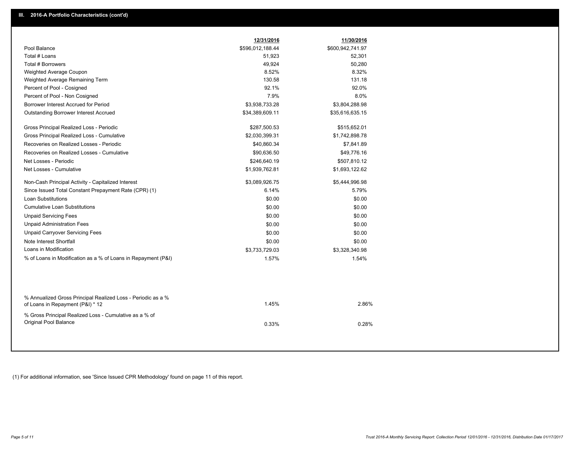|                                                                                                  | 12/31/2016       | 11/30/2016       |  |
|--------------------------------------------------------------------------------------------------|------------------|------------------|--|
| Pool Balance                                                                                     | \$596,012,188.44 | \$600,942,741.97 |  |
| Total # Loans                                                                                    | 51,923           | 52,301           |  |
| Total # Borrowers                                                                                | 49,924           | 50,280           |  |
| Weighted Average Coupon                                                                          | 8.52%            | 8.32%            |  |
| Weighted Average Remaining Term                                                                  | 130.58           | 131.18           |  |
| Percent of Pool - Cosigned                                                                       | 92.1%            | 92.0%            |  |
| Percent of Pool - Non Cosigned                                                                   | 7.9%             | 8.0%             |  |
| Borrower Interest Accrued for Period                                                             | \$3,938,733.28   | \$3,804,288.98   |  |
| Outstanding Borrower Interest Accrued                                                            | \$34,389,609.11  | \$35,616,635.15  |  |
| Gross Principal Realized Loss - Periodic                                                         | \$287,500.53     | \$515,652.01     |  |
| Gross Principal Realized Loss - Cumulative                                                       | \$2,030,399.31   | \$1,742,898.78   |  |
| Recoveries on Realized Losses - Periodic                                                         | \$40,860.34      | \$7,841.89       |  |
| Recoveries on Realized Losses - Cumulative                                                       | \$90,636.50      | \$49,776.16      |  |
| Net Losses - Periodic                                                                            | \$246,640.19     | \$507,810.12     |  |
| Net Losses - Cumulative                                                                          | \$1,939,762.81   | \$1,693,122.62   |  |
| Non-Cash Principal Activity - Capitalized Interest                                               | \$3,089,926.75   | \$5,444,996.98   |  |
| Since Issued Total Constant Prepayment Rate (CPR) (1)                                            | 6.14%            | 5.79%            |  |
| <b>Loan Substitutions</b>                                                                        | \$0.00           | \$0.00           |  |
| <b>Cumulative Loan Substitutions</b>                                                             | \$0.00           | \$0.00           |  |
| <b>Unpaid Servicing Fees</b>                                                                     | \$0.00           | \$0.00           |  |
| <b>Unpaid Administration Fees</b>                                                                | \$0.00           | \$0.00           |  |
| <b>Unpaid Carryover Servicing Fees</b>                                                           | \$0.00           | \$0.00           |  |
| Note Interest Shortfall                                                                          | \$0.00           | \$0.00           |  |
| Loans in Modification                                                                            | \$3,733,729.03   | \$3,328,340.98   |  |
| % of Loans in Modification as a % of Loans in Repayment (P&I)                                    | 1.57%            | 1.54%            |  |
|                                                                                                  |                  |                  |  |
| % Annualized Gross Principal Realized Loss - Periodic as a %<br>of Loans in Repayment (P&I) * 12 | 1.45%            | 2.86%            |  |
| % Gross Principal Realized Loss - Cumulative as a % of<br>Original Pool Balance                  | 0.33%            | 0.28%            |  |

(1) For additional information, see 'Since Issued CPR Methodology' found on page 11 of this report.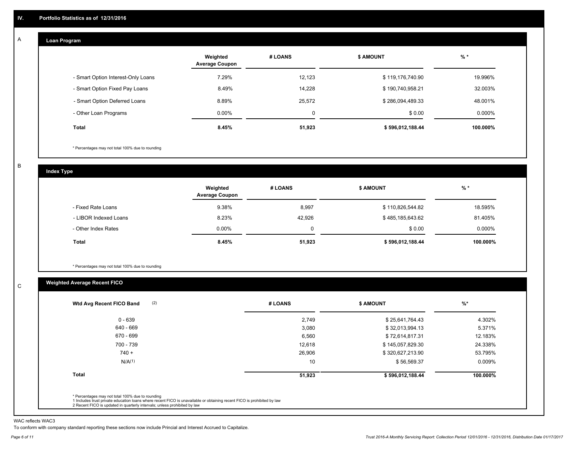#### **Loan Program**  A

|                                    | Weighted<br><b>Average Coupon</b> | # LOANS | <b>\$ AMOUNT</b> | $%$ *     |
|------------------------------------|-----------------------------------|---------|------------------|-----------|
| - Smart Option Interest-Only Loans | 7.29%                             | 12.123  | \$119,176,740.90 | 19.996%   |
| - Smart Option Fixed Pay Loans     | 8.49%                             | 14,228  | \$190,740,958.21 | 32.003%   |
| - Smart Option Deferred Loans      | 8.89%                             | 25,572  | \$286,094,489.33 | 48.001%   |
| - Other Loan Programs              | $0.00\%$                          | 0       | \$0.00           | $0.000\%$ |
| Total                              | 8.45%                             | 51,923  | \$596,012,188.44 | 100.000%  |

\* Percentages may not total 100% due to rounding

B

C

**Index Type**

|                       | Weighted<br><b>Average Coupon</b> | # LOANS | <b>S AMOUNT</b>  | $%$ *     |
|-----------------------|-----------------------------------|---------|------------------|-----------|
| - Fixed Rate Loans    | 9.38%                             | 8,997   | \$110,826,544.82 | 18.595%   |
| - LIBOR Indexed Loans | 8.23%                             | 42.926  | \$485,185,643.62 | 81.405%   |
| - Other Index Rates   | $0.00\%$                          |         | \$0.00           | $0.000\%$ |
| <b>Total</b>          | 8.45%                             | 51,923  | \$596,012,188.44 | 100.000%  |

\* Percentages may not total 100% due to rounding

# **Weighted Average Recent FICO**

| $0 - 639$<br>640 - 669 | 2,749<br>3,080 | \$25,641,764.43  | 4.302%   |
|------------------------|----------------|------------------|----------|
|                        |                |                  |          |
|                        |                | \$32,013,994.13  | 5.371%   |
| 670 - 699              | 6,560          | \$72,614,817.31  | 12.183%  |
| 700 - 739              | 12,618         | \$145,057,829.30 | 24.338%  |
| $740 +$                | 26,906         | \$320,627,213.90 | 53.795%  |
| N/A <sup>(1)</sup>     | 10             | \$56,569.37      | 0.009%   |
| <b>Total</b>           | 51,923         | \$596,012,188.44 | 100.000% |

WAC reflects WAC3

To conform with company standard reporting these sections now include Princial and Interest Accrued to Capitalize.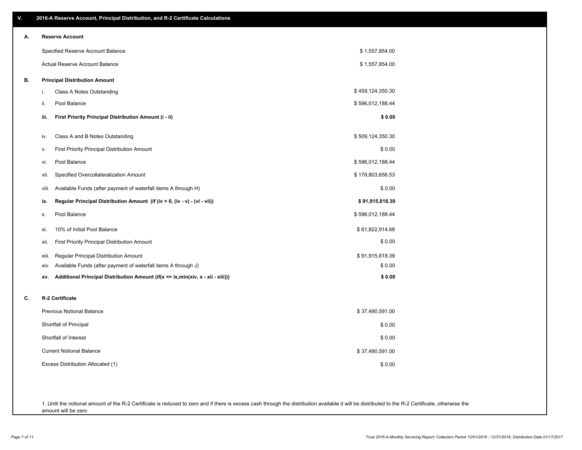| ٧. | 2016-A Reserve Account, Principal Distribution, and R-2 Certificate Calculations       |                  |
|----|----------------------------------------------------------------------------------------|------------------|
| А. | <b>Reserve Account</b>                                                                 |                  |
|    | Specified Reserve Account Balance                                                      | \$1,557,854.00   |
|    | Actual Reserve Account Balance                                                         | \$1,557,854.00   |
| В. | <b>Principal Distribution Amount</b>                                                   |                  |
|    | i.<br>Class A Notes Outstanding                                                        | \$459,124,350.30 |
|    | Pool Balance<br>ii.                                                                    | \$596,012,188.44 |
|    | First Priority Principal Distribution Amount (i - ii)<br>iii.                          | \$0.00           |
|    | Class A and B Notes Outstanding<br>iv.                                                 | \$509,124,350.30 |
|    | <b>First Priority Principal Distribution Amount</b><br>v.                              | \$0.00           |
|    | Pool Balance<br>vi.                                                                    | \$596,012,188.44 |
|    | Specified Overcollateralization Amount<br>vii.                                         | \$178,803,656.53 |
|    | Available Funds (after payment of waterfall items A through H)<br>viii.                | \$0.00           |
|    | Regular Principal Distribution Amount (if (iv > 0, (iv - v) - (vi - vii))<br>ix.       | \$91,915,818.39  |
|    | Pool Balance<br>х.                                                                     | \$596,012,188.44 |
|    | 10% of Initial Pool Balance<br>xi.                                                     | \$61,822,914.68  |
|    | <b>First Priority Principal Distribution Amount</b><br>xii.                            | \$0.00           |
|    | <b>Regular Principal Distribution Amount</b><br>xiii.                                  | \$91,915,818.39  |
|    | Available Funds (after payment of waterfall items A through J)<br>XIV.                 | \$0.00           |
|    | Additional Principal Distribution Amount (if(x <= ix,min(xiv, x - xii - xiii)))<br>XV. | \$0.00           |
| C. | R-2 Certificate                                                                        |                  |
|    | <b>Previous Notional Balance</b>                                                       | \$37,490,591.00  |
|    | Shortfall of Principal                                                                 | \$0.00           |
|    | Shortfall of Interest                                                                  | \$0.00           |
|    | <b>Current Notional Balance</b>                                                        | \$37,490,591.00  |
|    | Excess Distribution Allocated (1)                                                      | \$0.00           |
|    |                                                                                        |                  |
|    |                                                                                        |                  |

1. Until the notional amount of the R-2 Certificate is reduced to zero and if there is excess cash through the distribution available it will be distributed to the R-2 Certificate, otherwise the amount will be zero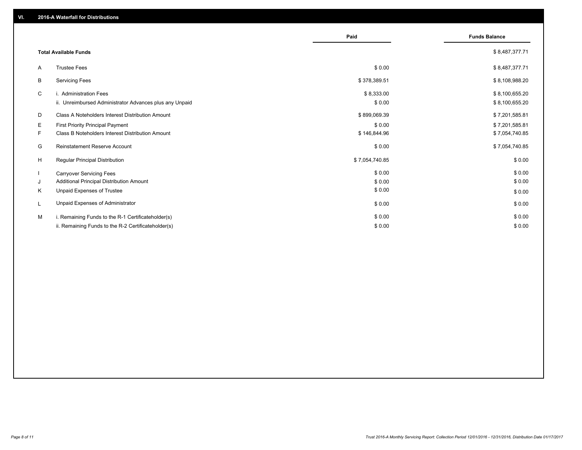|    |                                                         | Paid           | <b>Funds Balance</b> |
|----|---------------------------------------------------------|----------------|----------------------|
|    | <b>Total Available Funds</b>                            |                | \$8,487,377.71       |
| A  | <b>Trustee Fees</b>                                     | \$0.00         | \$8,487,377.71       |
| B  | <b>Servicing Fees</b>                                   | \$378,389.51   | \$8,108,988.20       |
| C  | i. Administration Fees                                  | \$8,333.00     | \$8,100,655.20       |
|    | ii. Unreimbursed Administrator Advances plus any Unpaid | \$0.00         | \$8,100,655.20       |
| D  | Class A Noteholders Interest Distribution Amount        | \$899,069.39   | \$7,201,585.81       |
| Е  | <b>First Priority Principal Payment</b>                 | \$0.00         | \$7,201,585.81       |
| F. | Class B Noteholders Interest Distribution Amount        | \$146,844.96   | \$7,054,740.85       |
| G  | Reinstatement Reserve Account                           | \$0.00         | \$7,054,740.85       |
| H  | <b>Regular Principal Distribution</b>                   | \$7,054,740.85 | \$0.00               |
|    | <b>Carryover Servicing Fees</b>                         | \$0.00         | \$0.00               |
| J  | Additional Principal Distribution Amount                | \$0.00         | \$0.00               |
| K  | Unpaid Expenses of Trustee                              | \$0.00         | \$0.00               |
| L  | Unpaid Expenses of Administrator                        | \$0.00         | \$0.00               |
| M  | i. Remaining Funds to the R-1 Certificateholder(s)      | \$0.00         | \$0.00               |
|    | ii. Remaining Funds to the R-2 Certificateholder(s)     | \$0.00         | \$0.00               |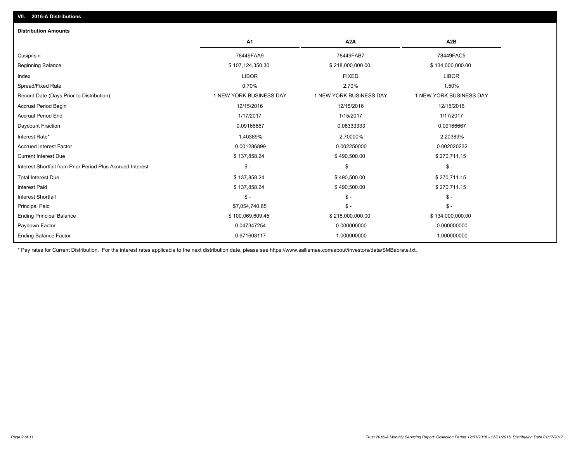| <b>A1</b>                                                           | A <sub>2</sub> A<br>A <sub>2</sub> B               |  |
|---------------------------------------------------------------------|----------------------------------------------------|--|
| 78449FAA9<br>Cusip/Isin                                             | 78449FAB7<br>78449FAC5                             |  |
| \$107,124,350.30<br><b>Beginning Balance</b>                        | \$218,000,000.00<br>\$134,000,000.00               |  |
| <b>LIBOR</b><br>Index                                               | <b>LIBOR</b><br><b>FIXED</b>                       |  |
| Spread/Fixed Rate<br>0.70%                                          | 1.50%<br>2.70%                                     |  |
| 1 NEW YORK BUSINESS DAY<br>Record Date (Days Prior to Distribution) | 1 NEW YORK BUSINESS DAY<br>1 NEW YORK BUSINESS DAY |  |
| 12/15/2016<br><b>Accrual Period Begin</b>                           | 12/15/2016<br>12/15/2016                           |  |
| <b>Accrual Period End</b><br>1/17/2017                              | 1/15/2017<br>1/17/2017                             |  |
| 0.09166667<br>Daycount Fraction                                     | 0.08333333<br>0.09166667                           |  |
| Interest Rate*<br>1.40389%                                          | 2.70000%<br>2.20389%                               |  |
| <b>Accrued Interest Factor</b><br>0.001286899                       | 0.002250000<br>0.002020232                         |  |
| <b>Current Interest Due</b><br>\$137,858.24                         | \$490,500.00<br>\$270,711.15                       |  |
| $S -$<br>Interest Shortfall from Prior Period Plus Accrued Interest | $\mathsf{\$}$ -<br>$\mathsf{\$}$ -                 |  |
| <b>Total Interest Due</b><br>\$137,858.24                           | \$490,500.00<br>\$270,711.15                       |  |
| <b>Interest Paid</b><br>\$137,858.24                                | \$490,500.00<br>\$270,711.15                       |  |
| <b>Interest Shortfall</b><br>$S -$                                  | $\mathcal{S}$ -<br>$\mathsf{\$}$ -                 |  |
| \$7,054,740.85<br><b>Principal Paid</b>                             | $\mathcal{S}$ -<br>$\mathsf{\$}$ -                 |  |
| \$100,069,609.45<br><b>Ending Principal Balance</b>                 | \$218,000,000.00<br>\$134,000,000.00               |  |
| 0.047347254<br>Paydown Factor                                       | 0.000000000<br>0.000000000                         |  |
| <b>Ending Balance Factor</b><br>0.671608117                         | 1.000000000<br>1.000000000                         |  |

\* Pay rates for Current Distribution. For the interest rates applicable to the next distribution date, please see https://www.salliemae.com/about/investors/data/SMBabrate.txt.

**VII. 2016-A Distributions**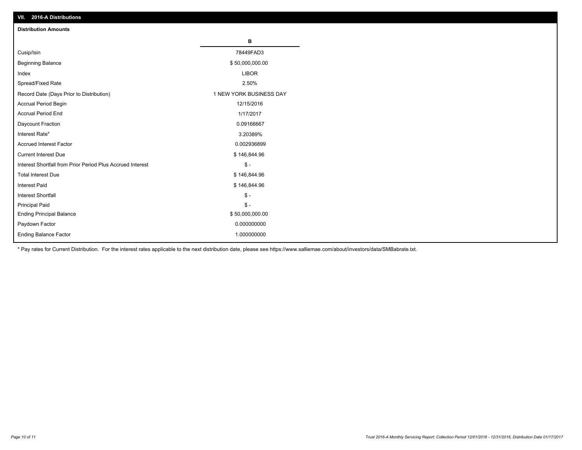| VII. 2016-A Distributions                                  |                         |
|------------------------------------------------------------|-------------------------|
| <b>Distribution Amounts</b>                                |                         |
|                                                            | в                       |
| Cusip/Isin                                                 | 78449FAD3               |
| <b>Beginning Balance</b>                                   | \$50,000,000.00         |
| Index                                                      | <b>LIBOR</b>            |
| Spread/Fixed Rate                                          | 2.50%                   |
| Record Date (Days Prior to Distribution)                   | 1 NEW YORK BUSINESS DAY |
| Accrual Period Begin                                       | 12/15/2016              |
| <b>Accrual Period End</b>                                  | 1/17/2017               |
| Daycount Fraction                                          | 0.09166667              |
| Interest Rate*                                             | 3.20389%                |
| <b>Accrued Interest Factor</b>                             | 0.002936899             |
| <b>Current Interest Due</b>                                | \$146,844.96            |
| Interest Shortfall from Prior Period Plus Accrued Interest | $$ -$                   |
| <b>Total Interest Due</b>                                  | \$146,844.96            |
| <b>Interest Paid</b>                                       | \$146,844.96            |
| <b>Interest Shortfall</b>                                  | $\frac{2}{3}$ -         |
| <b>Principal Paid</b>                                      | $\frac{2}{3}$ -         |
| <b>Ending Principal Balance</b>                            | \$50,000,000.00         |
| Paydown Factor                                             | 0.000000000             |
| <b>Ending Balance Factor</b>                               | 1.000000000             |

\* Pay rates for Current Distribution. For the interest rates applicable to the next distribution date, please see https://www.salliemae.com/about/investors/data/SMBabrate.txt.